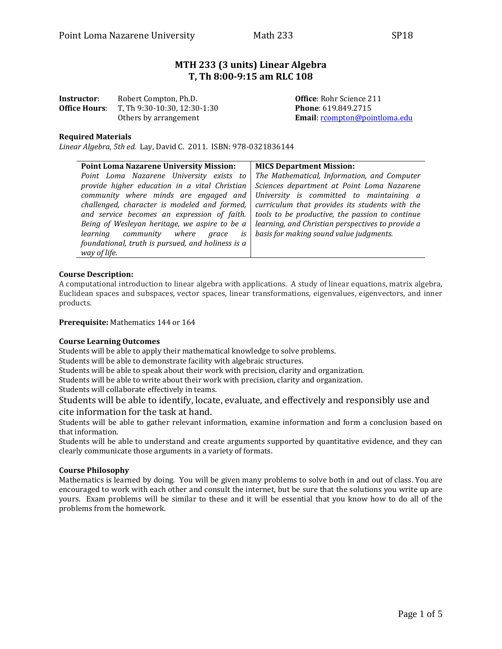# **MTH 233 (3 units) Linear Algebra T, Th 8:00-9:15 am RLC 108**

| Instructor:          | Robert Compton, Ph.D.        |
|----------------------|------------------------------|
| <b>Office Hours:</b> | T, Th 9:30-10:30, 12:30-1:30 |
|                      | Others by arrangement        |

**Office: Rohr Science 211 Phone**: 619.849.2715 Email: [rcompton@pointloma.edu](mailto:rcompton@pointloma.edu)

## **Required Materials**

*Linear Algebra, 5th ed.* Lay, David C. 2011. ISBN: 978-0321836144

| <b>Point Loma Nazarene University Mission:</b>    | <b>MICS Department Mission:</b>                   |  |
|---------------------------------------------------|---------------------------------------------------|--|
| Point Loma Nazarene University exists to          | The Mathematical, Information, and Computer       |  |
| provide higher education in a vital Christian     | Sciences department at Point Loma Nazarene        |  |
| community where minds are engaged and             | University is committed to maintaining a          |  |
| challenged, character is modeled and formed,      | curriculum that provides its students with the    |  |
| and service becomes an expression of faith.       | tools to be productive, the passion to continue   |  |
| Being of Wesleyan heritage, we aspire to be a     | learning, and Christian perspectives to provide a |  |
| learning community where grace<br>is              | basis for making sound value judgments.           |  |
| foundational, truth is pursued, and holiness is a |                                                   |  |
| way of life.                                      |                                                   |  |

#### **Course Description:**

A computational introduction to linear algebra with applications. A study of linear equations, matrix algebra, Euclidean spaces and subspaces, vector spaces, linear transformations, eigenvalues, eigenvectors, and inner products.

**Prerequisite:** Mathematics 144 or 164

#### **Course Learning Outcomes**

Students will be able to apply their mathematical knowledge to solve problems.

Students will be able to demonstrate facility with algebraic structures.

Students will be able to speak about their work with precision, clarity and organization.

Students will be able to write about their work with precision, clarity and organization.

Students will collaborate effectively in teams.

Students will be able to identify, locate, evaluate, and effectively and responsibly use and cite information for the task at hand.

Students will be able to gather relevant information, examine information and form a conclusion based on that information.

Students will be able to understand and create arguments supported by quantitative evidence, and they can clearly communicate those arguments in a variety of formats.

#### **Course Philosophy**

Mathematics is learned by doing. You will be given many problems to solve both in and out of class. You are encouraged to work with each other and consult the internet, but be sure that the solutions you write up are yours. Exam problems will be similar to these and it will be essential that you know how to do all of the problems from the homework.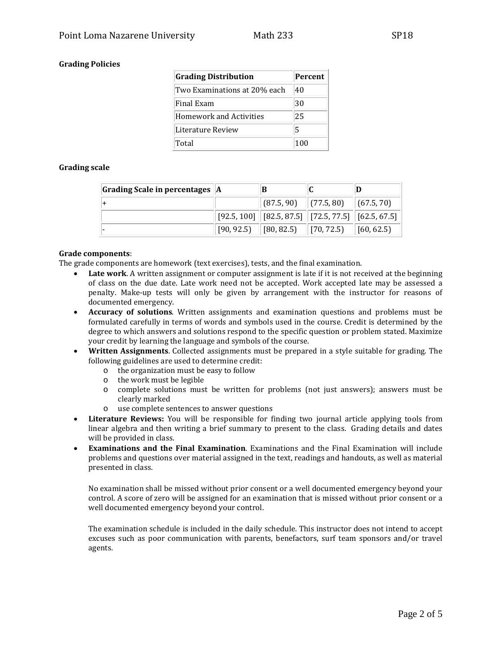# **Grading Policies**

| <b>Grading Distribution</b>    | Percent |  |
|--------------------------------|---------|--|
| Two Examinations at 20% each   | 40      |  |
| Final Exam                     | 30      |  |
| <b>Homework and Activities</b> | 25      |  |
| Literature Review              | 5       |  |
| Total                          | 100     |  |

# **Grading scale**

| $\vert$ Grading Scale in percentages $\vert A \vert$ |                                                                                       |  |
|------------------------------------------------------|---------------------------------------------------------------------------------------|--|
|                                                      | $\left(87.5, 90\right)$ $\left(77.5, 80\right)$ $\left(67.5, 70\right)$               |  |
|                                                      | $\mid$ [92.5, 100] $\mid$ [82.5, 87.5] $\mid$ [72.5, 77.5] $\mid$ [62.5, 67.5] $\mid$ |  |
|                                                      | $\mid$ [90, 92.5) $\mid$ [80, 82.5) $\mid$ [70, 72.5) $\mid$ [60, 62.5)               |  |

#### **Grade components**:

The grade components are homework (text exercises), tests, and the final examination.

- **Late work**. A written assignment or computer assignment is late if it is not received at the beginning of class on the due date. Late work need not be accepted. Work accepted late may be assessed a penalty. Make-up tests will only be given by arrangement with the instructor for reasons of documented emergency.
- **Accuracy of solutions**. Written assignments and examination questions and problems must be formulated carefully in terms of words and symbols used in the course. Credit is determined by the degree to which answers and solutions respond to the specific question or problem stated. Maximize your credit by learning the language and symbols of the course.
- **Written Assignments**. Collected assignments must be prepared in a style suitable for grading. The following guidelines are used to determine credit:
	- o the organization must be easy to follow
	- o the work must be legible
	- o complete solutions must be written for problems (not just answers); answers must be clearly marked
	- o use complete sentences to answer questions
- **Literature Reviews:** You will be responsible for finding two journal article applying tools from linear algebra and then writing a brief summary to present to the class. Grading details and dates will be provided in class.
- **Examinations and the Final Examination**. Examinations and the Final Examination will include problems and questions over material assigned in the text, readings and handouts, as well as material presented in class.

No examination shall be missed without prior consent or a well documented emergency beyond your control. A score of zero will be assigned for an examination that is missed without prior consent or a well documented emergency beyond your control.

The examination schedule is included in the daily schedule. This instructor does not intend to accept excuses such as poor communication with parents, benefactors, surf team sponsors and/or travel agents.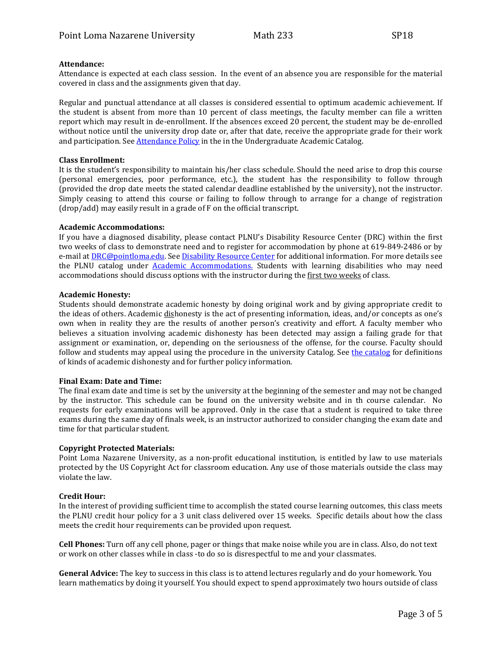#### **Attendance:**

Attendance is expected at each class session. In the event of an absence you are responsible for the material covered in class and the assignments given that day.

Regular and punctual attendance at all classes is considered essential to optimum academic achievement. If the student is absent from more than 10 percent of class meetings, the faculty member can file a written report which may result in de-enrollment. If the absences exceed 20 percent, the student may be de-enrolled without notice until the university drop date or, after that date, receive the appropriate grade for their work and participation. See [Attendance Policy](https://catalog.pointloma.edu/content.php?catoid=28&navoid=1761#Class_Attendance) in the in the Undergraduate Academic Catalog.

#### **Class Enrollment:**

It is the student's responsibility to maintain his/her class schedule. Should the need arise to drop this course (personal emergencies, poor performance, etc.), the student has the responsibility to follow through (provided the drop date meets the stated calendar deadline established by the university), not the instructor. Simply ceasing to attend this course or failing to follow through to arrange for a change of registration (drop/add) may easily result in a grade of F on the official transcript.

#### **Academic Accommodations:**

If you have a diagnosed disability, please contact PLNU's Disability Resource Center (DRC) within the first two weeks of class to demonstrate need and to register for accommodation by phone at 619-849-2486 or by e-mail a[t DRC@pointloma.edu.](mailto:DRC@pointloma.edu) See [Disability Resource Center](http://www.pointloma.edu/experience/offices/administrative-offices/academic-advising-office/disability-resource-center) for additional information. For more details see the PLNU catalog under [Academic Accommodations.](https://catalog.pointloma.edu/content.php?catoid=28&navoid=1761#Academic_Accommodations) Students with learning disabilities who may need accommodations should discuss options with the instructor during the first two weeks of class.

#### **Academic Honesty:**

Students should demonstrate academic honesty by doing original work and by giving appropriate credit to the ideas of others. Academic dishonesty is the act of presenting information, ideas, and/or concepts as one's own when in reality they are the results of another person's creativity and effort. A faculty member who believes a situation involving academic dishonesty has been detected may assign a failing grade for that assignment or examination, or, depending on the seriousness of the offense, for the course. Faculty should follow and students may appeal using the procedure in the university Catalog. See [the catalog](https://catalog.pointloma.edu/content.php?catoid=28&navoid=1761#Academic_Honesty) for definitions of kinds of academic dishonesty and for further policy information.

#### **Final Exam: Date and Time:**

The final exam date and time is set by the university at the beginning of the semester and may not be changed by the instructor. This schedule can be found on the university website and in th course calendar. No requests for early examinations will be approved. Only in the case that a student is required to take three exams during the same day of finals week, is an instructor authorized to consider changing the exam date and time for that particular student.

## **Copyright Protected Materials:**

Point Loma Nazarene University, as a non-profit educational institution, is entitled by law to use materials protected by the US Copyright Act for classroom education. Any use of those materials outside the class may violate the law.

## **Credit Hour:**

In the interest of providing sufficient time to accomplish the stated course learning outcomes, this class meets the PLNU credit hour policy for a 3 unit class delivered over 15 weeks. Specific details about how the class meets the credit hour requirements can be provided upon request.

**Cell Phones:** Turn off any cell phone, pager or things that make noise while you are in class. Also, do not text or work on other classes while in class -to do so is disrespectful to me and your classmates.

**General Advice:** The key to success in this class is to attend lectures regularly and do your homework. You learn mathematics by doing it yourself. You should expect to spend approximately two hours outside of class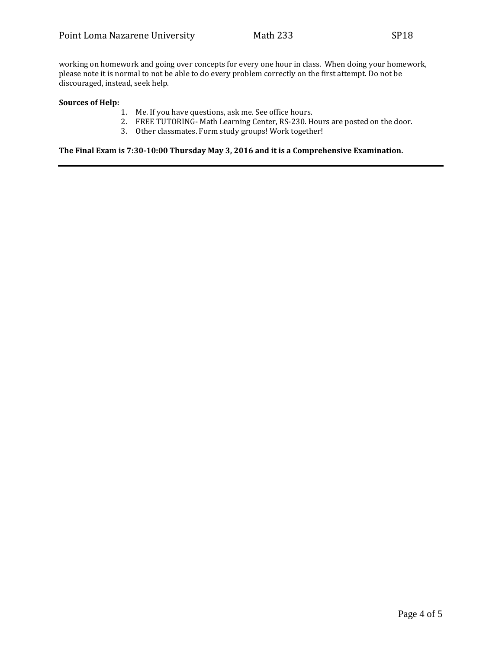working on homework and going over concepts for every one hour in class. When doing your homework, please note it is normal to not be able to do every problem correctly on the first attempt. Do not be discouraged, instead, seek help.

#### **Sources of Help:**

- 1. Me. If you have questions, ask me. See office hours.
- 2. FREE TUTORING- Math Learning Center, RS-230. Hours are posted on the door.
- 3. Other classmates. Form study groups! Work together!

**The Final Exam is 7:30-10:00 Thursday May 3, 2016 and it is a Comprehensive Examination.**